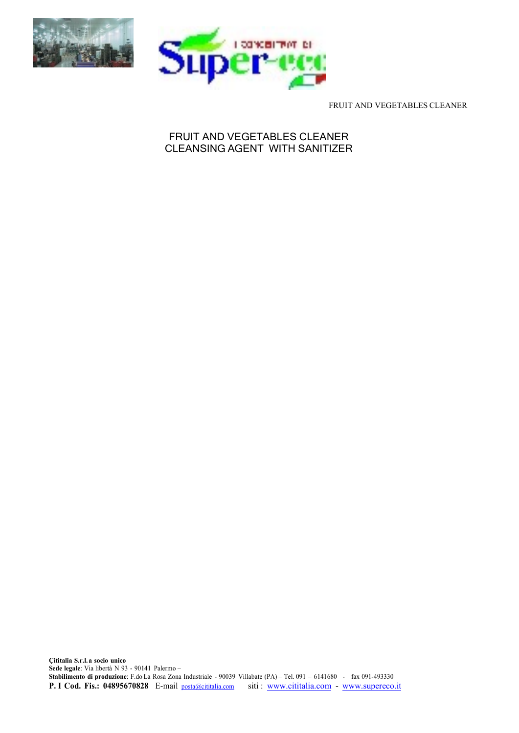



FRUIT AND VEGETABLES CLEANER

# FRUIT AND VEGETABLES CLEANER CLEANSING AGENT WITH SANITIZER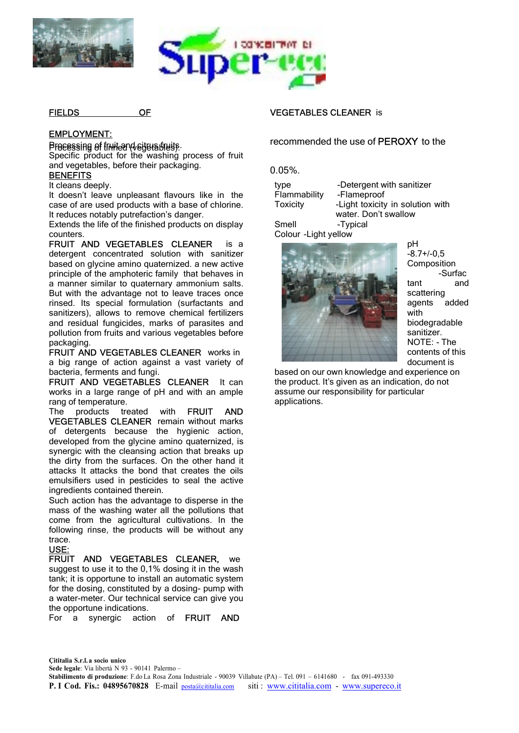



FIELDS OF

### EMPLOYMENT:

Processing of truit and citations fruits. Specific product for the washing process of fruit and vegetables, before their packaging.

#### **BENEFITS**

It cleans deeply.

It doesn't leave unpleasant flavours like in the case of are used products with a base of chlorine. It reduces notably putrefaction's danger.

Extends the life of the finished products on display counters.

FRUIT AND VEGETABLES CLEANER is a detergent concentrated solution with sanitizer based on glycine amino quaternized. a new active principle of the amphoteric family that behaves in a manner similar to quaternary ammonium salts. But with the advantage not to leave traces once rinsed. Its special formulation (surfactants and sanitizers), allows to remove chemical fertilizers and residual fungicides, marks of parasites and pollution from fruits and various vegetables before packaging.

FRUIT AND VEGETABLES CLEANER works in a big range of action against a vast variety of bacteria, ferments and fungi.

FRUIT AND VEGETABLES CLEANER It can works in a large range of pH and with an ample rang of temperature.

The products treated with FRUIT AND VEGETABLES CLEANER remain without marks of detergents because the hygienic action, developed from the glycine amino quaternized, is synergic with the cleansing action that breaks up the dirty from the surfaces. On the other hand it attacks It attacks the bond that creates the oils emulsifiers used in pesticides to seal the active ingredients contained therein.

Such action has the advantage to disperse in the mass of the washing water all the pollutions that come from the agricultural cultivations. In the following rinse, the products will be without any trace.

## USE:

FRUIT AND VEGETABLES CLEANER, we suggest to use it to the 0,1% dosing it in the wash tank; it is opportune to install an automatic system for the dosing, constituted by a dosing- pump with a water-meter. Our technical service can give you the opportune indications.

For a synergic action of FRUIT AND

### VEGETABLES CLEANER is

recommended the use of PEROXY to the

0.05%.

type **-Detergent with sanitizer** Flammability -Flameproof Toxicity -Light toxicity in solution with water. Don't swallow Smell -Typical

Colour -Light yellow



pH  $-8.7 + (-0.5)$ Composition -Surfac tant and scattering agents added with biodegradable sanitizer. NOTE: - The contents of this document is

based on our own knowledge and experience on the product. It's given as an indication, do not assume our responsibility for particular applications.